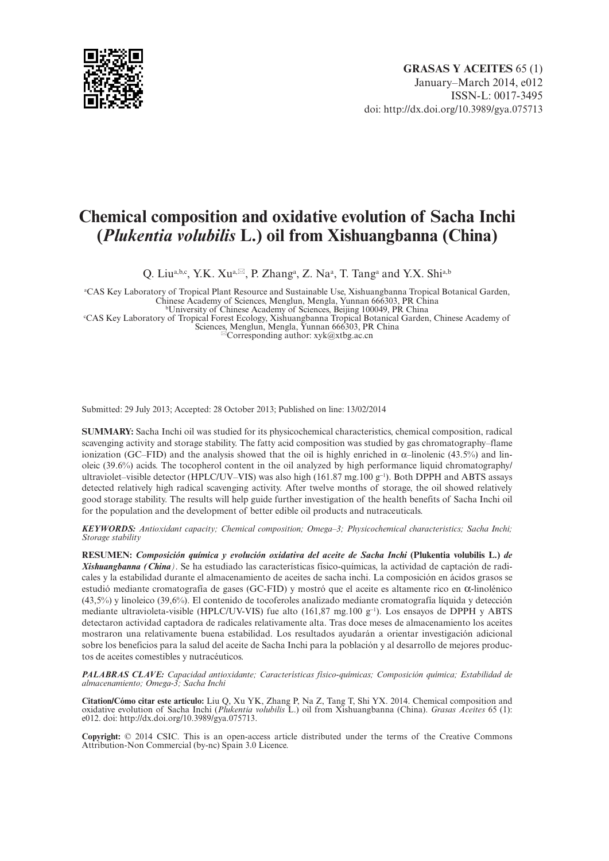

# **Chemical composition and oxidative evolution of Sacha Inchi (***Plukentia volubilis* **L.) oil from Xishuangbanna (China)**

Q. Liu<sup>a,b,c</sup>, Y.K. Xu<sup>a, $\boxtimes$ </sup>, P. Zhang<sup>a</sup>, Z. Na<sup>a</sup>, T. Tang<sup>a</sup> and Y.X. Shi<sup>a,b</sup>

a CAS Key Laboratory of Tropical Plant Resource and Sustainable Use, Xishuangbanna Tropical Botanical Garden, Chinese Academy of Sciences, Menglun, Mengla, Yunnan 666303, PR China <sup>b</sup> University of Chinese Academy of Sciences, Beijing 100049, PR China bCAS Key Laboratory of Tropical Forest Ecology, Xishuangbanna Tropical Botanical Garden, Chinese Academy of

Sciences, Menglun, Mengla, Yunnan 666303, PR China<br><sup>⊠</sup>Corresponding author: [xyk@xtbg.ac.cn](mailto:xyk@xtbg.ac.cn)

Submitted: 29 July 2013; Accepted: 28 October 2013; Published on line: 13/02/2014

**SUMMARY:** Sacha Inchi oil was studied for its physicochemical characteristics, chemical composition, radical scavenging activity and storage stability. The fatty acid composition was studied by gas chromatography–flame ionization (GC–FID) and the analysis showed that the oil is highly enriched in  $\alpha$ –linolenic (43.5%) and linoleic (39.6%) acids. The tocopherol content in the oil analyzed by high performance liquid chromatography/ ultraviolet–visible detector (HPLC/UV–VIS) was also high (161.87 mg.100  $g^{-1}$ ). Both DPPH and ABTS assays detected relatively high radical scavenging activity. After twelve months of storage, the oil showed relatively good storage stability. The results will help guide further investigation of the health benefits of Sacha Inchi oil for the population and the development of better edible oil products and nutraceuticals.

*KEYWORDS: Antioxidant capacity; Chemical composition; Omega–3; Physicochemical characteristics; Sacha Inchi; Storage stability*

**RESUMEN:** *Composición química y evolución oxidativa del aceite de Sacha Inchi* **(Plukentia volubilis L.)** *de Xishuangbanna (China)*. Se ha estudiado las características físico-químicas, la actividad de captación de radicales y la estabilidad durante el almacenamiento de aceites de sacha inchi. La composición en ácidos grasos se estudió mediante cromatografía de gases (GC-FID) y mostró que el aceite es altamente rico en  $\alpha$ -linolénico (43,5%) y linoleico (39,6%). El contenido de tocoferoles analizado mediante cromatografía líquida y detección mediante ultravioleta-visible (HPLC/UV-VIS) fue alto  $(161, 87 \text{ mg}.100 \text{ g}^{-1})$ . Los ensayos de DPPH y ABTS detectaron actividad captadora de radicales relativamente alta. Tras doce meses de almacenamiento los aceites mostraron una relativamente buena estabilidad. Los resultados ayudarán a orientar investigación adicional sobre los beneficios para la salud del aceite de Sacha Inchi para la población y al desarrollo de mejores productos de aceites comestibles y nutracéuticos.

*PALABRAS CLAVE: Capacidad antioxidante; Características físico-químicas; Composición química; Estabilidad de almacenamiento; Omega-3; Sacha Inchi*

**Citation/Cómo citar este artículo:** Liu Q, Xu YK, Zhang P, Na Z, Tang T, Shi YX. 2014. Chemical composition and oxidative evolution of Sacha Inchi (*Plukentia volubilis* L.) oil from Xishuangbanna (China). *Grasas Aceites* 65 (1): e012. doi:<http://dx.doi.org/10.3989/gya.075713>.

**Copyright:** © 2014 CSIC. This is an open-access article distributed under the terms of the Creative Commons Attribution-Non Commercial (by-nc) Spain 3.0 Licence.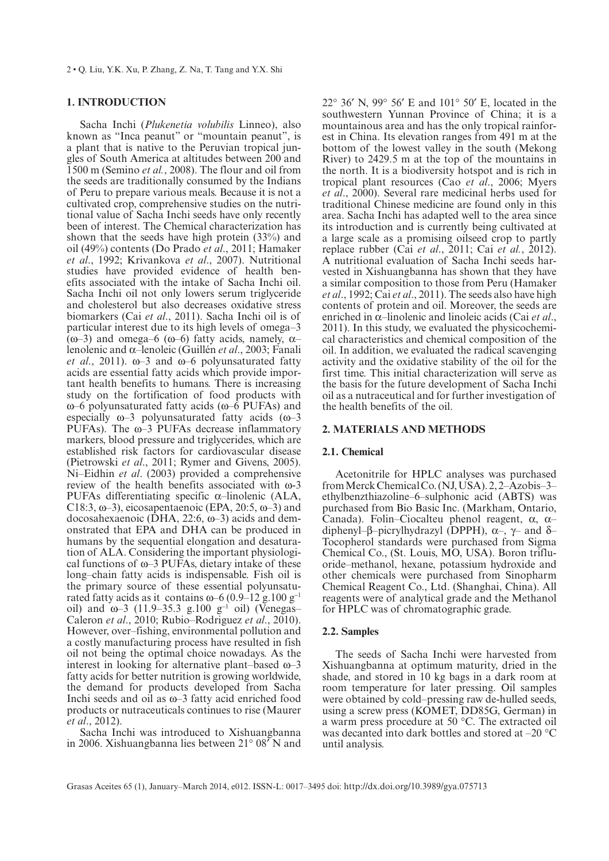# **1. INTRODUCTION**

Sacha Inchi (*Plukenetia volubilis* Linneo), also known as "Inca peanut" or "mountain peanut", is a plant that is native to the Peruvian tropical jungles of South America at altitudes between 200 and 1500 m (Semino *et al.*, 2008). The flour and oil from the seeds are traditionally consumed by the Indians of Peru to prepare various meals. Because it is not a cultivated crop, comprehensive studies on the nutritional value of Sacha Inchi seeds have only recently been of interest. The Chemical characterization has shown that the seeds have high protein (33%) and oil (49%) contents (Do Prado *et al*., 2011; Hamaker *et al*., 1992; Krivankova *et al*., 2007). Nutritional studies have provided evidence of health benefits associated with the intake of Sacha Inchi oil. Sacha Inchi oil not only lowers serum triglyceride and cholesterol but also decreases oxidative stress biomarkers (Cai *et al*., 2011). Sacha Inchi oil is of particular interest due to its high levels of omega–3 (ω–3) and omega–6 (ω–6) fatty acids, namely, α– lenolenic and α–lenoleic (Guillén *et al*., 2003; Fanali *et al.*, 2011).  $\omega$ -3 and  $\omega$ -6 polyunsaturated fatty acids are essential fatty acids which provide important health benefits to humans. There is increasing study on the fortification of food products with ω–6 polyunsaturated fatty acids (ω–6 PUFAs) and especially  $\omega$ -3 polyunsaturated fatty acids  $(\omega$ -3 PUFAs). The ω–3 PUFAs decrease inflammatory markers, blood pressure and triglycerides, which are established risk factors for cardiovascular disease (Pietrowski *et al*., 2011; Rymer and Givens, 2005). Ni–Eidhin *et al*. (2003) provided a comprehensive review of the health benefits associated with ω-3 PUFAs differentiating specific α–linolenic (ALA, C18:3,  $\omega$ -3), eicosapentaenoic (EPA, 20:5,  $\omega$ -3) and docosahexaenoic (DHA, 22:6, ω–3) acids and demonstrated that EPA and DHA can be produced in humans by the sequential elongation and desaturation of ALA. Considering the important physiological functions of ω–3 PUFAs, dietary intake of these long–chain fatty acids is indispensable. Fish oil is the primary source of these essential polyunsaturated fatty acids as it contains  $\omega$ –6 (0.9–12 g.100 g<sup>-1</sup> oil) and ω-3 (11.9–35.3 g.100 g<sup>-1</sup> oil) (Venegas– Caleron *et al*., 2010; Rubio–Rodriguez *et al*., 2010). However, over–fishing, environmental pollution and a costly manufacturing process have resulted in fish oil not being the optimal choice nowadays. As the interest in looking for alternative plant–based ω–3 fatty acids for better nutrition is growing worldwide, the demand for products developed from Sacha Inchi seeds and oil as  $\omega$ -3 fatty acid enriched food products or nutraceuticals continues to rise (Maurer *et al*., 2012).

Sacha Inchi was introduced to Xishuangbanna in 2006. Xishuangbanna lies between 21° 08′ N and

22° 36′ N, 99° 56′ E and 101° 50′ E, located in the southwestern Yunnan Province of China; it is a mountainous area and has the only tropical rainforest in China. Its elevation ranges from 491 m at the bottom of the lowest valley in the south (Mekong River) to 2429.5 m at the top of the mountains in the north. It is a biodiversity hotspot and is rich in tropical plant resources (Cao *et al*., 2006; Myers *et al*., 2000). Several rare medicinal herbs used for traditional Chinese medicine are found only in this area. Sacha Inchi has adapted well to the area since its introduction and is currently being cultivated at a large scale as a promising oilseed crop to partly replace rubber (Cai *et al*., 2011; Cai *et al.*, 2012). A nutritional evaluation of Sacha Inchi seeds harvested in Xishuangbanna has shown that they have a similar composition to those from Peru (Hamaker *et al*., 1992; Cai *et al*., 2011). The seeds also have high contents of protein and oil. Moreover, the seeds are enriched in α–linolenic and linoleic acids (Cai *et al*., 2011). In this study, we evaluated the physicochemical characteristics and chemical composition of the oil. In addition, we evaluated the radical scavenging activity and the oxidative stability of the oil for the first time. This initial characterization will serve as the basis for the future development of Sacha Inchi oil as a nutraceutical and for further investigation of the health benefits of the oil.

# **2. MATERIALS AND METHODS**

#### **2.1. Chemical**

Acetonitrile for HPLC analyses was purchased from Merck Chemical Co. (NJ, USA). 2, 2–Azobis–3– ethylbenzthiazoline–6–sulphonic acid (ABTS) was purchased from Bio Basic Inc. (Markham, Ontario, Canada). Folin–Ciocalteu phenol reagent, α, α– diphenyl–β–picrylhydrazyl (DPPH), α–, γ– and δ– Tocopherol standards were purchased from Sigma Chemical Co., (St. Louis, MO, USA). Boron trifluoride–methanol, hexane, potassium hydroxide and other chemicals were purchased from Sinopharm Chemical Reagent Co., Ltd. (Shanghai, China). All reagents were of analytical grade and the Methanol for HPLC was of chromatographic grade.

# **2.2. Samples**

The seeds of Sacha Inchi were harvested from Xishuangbanna at optimum maturity, dried in the shade, and stored in 10 kg bags in a dark room at room temperature for later pressing. Oil samples were obtained by cold–pressing raw de-hulled seeds, using a screw press (KOMET, DD85G, German) in a warm press procedure at 50 °C. The extracted oil was decanted into dark bottles and stored at –20 °C until analysis.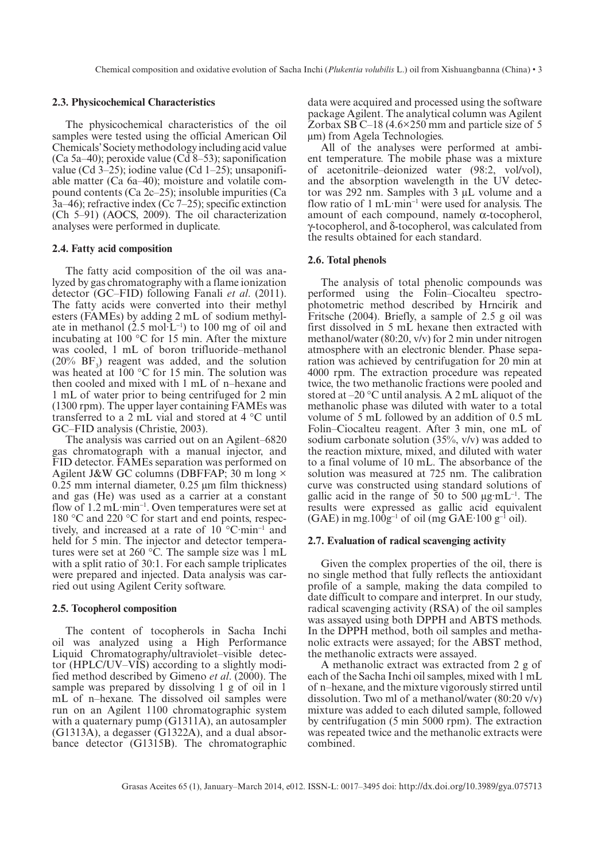#### **2.3. Physicochemical Characteristics**

The physicochemical characteristics of the oil samples were tested using the official American Oil Chemicals' Society methodology including acid value (Ca 5a–40); peroxide value (Cd  $8-53$ ); saponification value (Cd 3–25); iodine value (Cd 1–25); unsaponifiable matter (Ca 6a–40); moisture and volatile compound contents (Ca 2c–25); insoluble impurities (Ca 3a–46); refractive index (Cc 7–25); specific extinction (Ch 5–91) (AOCS, 2009). The oil characterization analyses were performed in duplicate.

#### **2.4. Fatty acid composition**

The fatty acid composition of the oil was analyzed by gas chromatography with a flame ionization detector (GC–FID) following Fanali *et al*. (2011). The fatty acids were converted into their methyl esters (FAMEs) by adding 2 mL of sodium methylate in methanol  $(2.5 \text{ mol} \cdot \text{L}^{-1})$  to 100 mg of oil and incubating at 100 °C for 15 min. After the mixture was cooled, 1 mL of boron trifluoride–methanol  $(20\% \text{ BF}_3)$  reagent was added, and the solution was heated at 100 °C for 15 min. The solution was then cooled and mixed with 1 mL of n–hexane and 1 mL of water prior to being centrifuged for 2 min (1300 rpm). The upper layer containing FAMEs was transferred to a 2 mL vial and stored at 4 °C until GC–FID analysis (Christie, 2003).

The analysis was carried out on an Agilent–6820 gas chromatograph with a manual injector, and FID detector. FAMEs separation was performed on Agilent J&W GC columns (DBFFAP; 30 m long × 0.25 mm internal diameter, 0.25 μm film thickness) and gas (He) was used as a carrier at a constant flow of 1.2 mL·min<sup>-1</sup>. Oven temperatures were set at 180 °C and 220 °C for start and end points, respectively, and increased at a rate of  $10^{\circ}$ C·min<sup>-1</sup> and held for 5 min. The injector and detector temperatures were set at 260  $\degree$ C. The sample size was 1 mL with a split ratio of 30:1. For each sample triplicates were prepared and injected. Data analysis was carried out using Agilent Cerity software.

## **2.5. Tocopherol composition**

The content of tocopherols in Sacha Inchi oil was analyzed using a High Performance Liquid Chromatography/ultraviolet–visible detector (HPLC/UV–VIS) according to a slightly modified method described by Gimeno *et al*. (2000). The sample was prepared by dissolving 1 g of oil in 1 mL of n–hexane. The dissolved oil samples were run on an Agilent 1100 chromatographic system with a quaternary pump (G1311A), an autosampler (G1313A), a degasser (G1322A), and a dual absorbance detector (G1315B). The chromatographic

data were acquired and processed using the software package Agilent. The analytical column was Agilent Zorbax SB C–18 (4.6×250 mm and particle size of 5 μm) from Agela Technologies.

All of the analyses were performed at ambient temperature. The mobile phase was a mixture of acetonitrile–deionized water (98:2, vol/vol), and the absorption wavelength in the UV detector was 292 nm. Samples with 3 μL volume and a flow ratio of  $1 \text{ mL-min}^{-1}$  were used for analysis. The amount of each compound, namely α-tocopherol, γ-tocopherol, and δ-tocopherol, was calculated from the results obtained for each standard.

#### **2.6. Total phenols**

The analysis of total phenolic compounds was performed using the Folin–Ciocalteu spectrophotometric method described by Hrncirik and Fritsche (2004). Briefly, a sample of 2.5 g oil was first dissolved in 5 mL hexane then extracted with methanol/water (80:20, v/v) for 2 min under nitrogen atmosphere with an electronic blender. Phase separation was achieved by centrifugation for 20 min at 4000 rpm. The extraction procedure was repeated twice, the two methanolic fractions were pooled and stored at –20 °C until analysis. A 2 mL aliquot of the methanolic phase was diluted with water to a total volume of 5 mL followed by an addition of 0.5 mL Folin–Ciocalteu reagent. After 3 min, one mL of sodium carbonate solution  $(35\%, v/v)$  was added to the reaction mixture, mixed, and diluted with water to a final volume of 10 mL. The absorbance of the solution was measured at 725 nm. The calibration curve was constructed using standard solutions of gallic acid in the range of 50 to 500  $\mu$ g·mL<sup>-1</sup>. The results were expressed as gallic acid equivalent  $(GAE)$  in mg.100g<sup>-1</sup> of oil (mg  $GAE$ <sup>-1</sup>00 g<sup>-1</sup> oil).

#### **2.7. Evaluation of radical scavenging activity**

Given the complex properties of the oil, there is no single method that fully reflects the antioxidant profile of a sample, making the data compiled to date difficult to compare and interpret. In our study, radical scavenging activity (RSA) of the oil samples was assayed using both DPPH and ABTS methods. In the DPPH method, both oil samples and methanolic extracts were assayed; for the ABST method, the methanolic extracts were assayed.

A methanolic extract was extracted from 2 g of each of the Sacha Inchi oil samples, mixed with 1 mL of n–hexane, and the mixture vigorously stirred until dissolution. Two ml of a methanol/water (80:20 v/v) mixture was added to each diluted sample, followed by centrifugation (5 min 5000 rpm). The extraction was repeated twice and the methanolic extracts were combined.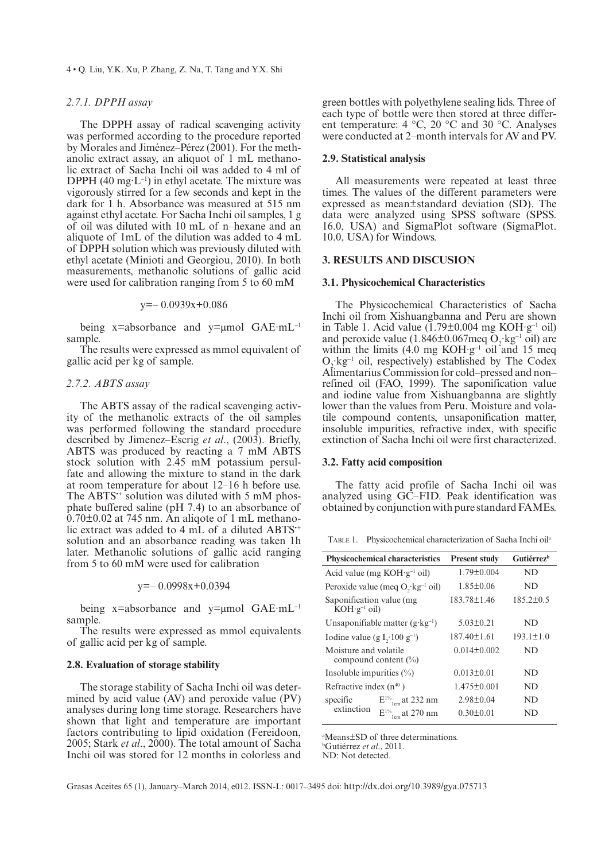4 • Q. Liu, Y.K. Xu, P. Zhang, Z. Na, T. Tang and Y.X. Shi

### *2.7.1. DPPH assay*

The DPPH assay of radical scavenging activity was performed according to the procedure reported by Morales and Jiménez–Pérez (2001). For the methanolic extract assay, an aliquot of 1 mL methanolic extract of Sacha Inchi oil was added to 4 ml of DPPH  $(40 \text{ mg} \cdot \text{L}^{-1})$  in ethyl acetate. The mixture was vigorously stirred for a few seconds and kept in the dark for 1 h. Absorbance was measured at 515 nm against ethyl acetate. For Sacha Inchi oil samples, 1 g of oil was diluted with 10 mL of n–hexane and an aliquote of 1mL of the dilution was added to 4 mL of DPPH solution which was previously diluted with ethyl acetate (Minioti and Georgiou, 2010). In both measurements, methanolic solutions of gallic acid were used for calibration ranging from 5 to 60 mM

 $y=-0.0939x+0.086$ 

being x=absorbance and y=μmol GAE·mL<sup>-1</sup> sample.

The results were expressed as mmol equivalent of gallic acid per kg of sample.

#### *2.7.2. ABTS assay*

The ABTS assay of the radical scavenging activity of the methanolic extracts of the oil samples was performed following the standard procedure described by Jimenez–Escrig *et al*., (2003). Briefly, ABTS was produced by reacting a 7 mM ABTS stock solution with 2.45 mM potassium persulfate and allowing the mixture to stand in the dark at room temperature for about 12–16 h before use. The ABTS<sup>\*\*</sup> solution was diluted with 5 mM phosphate buffered saline (pH 7.4) to an absorbance of 0.70±0.02 at 745 nm. An aliqote of 1 mL methanolic extract was added to 4 mL of a diluted ABTS<sup>++</sup> solution and an absorbance reading was taken 1h later. Methanolic solutions of gallic acid ranging from 5 to 60 mM were used for calibration

y=– 0.0998x+0.0394

being x=absorbance and y=μmol GAE·mL<sup>-1</sup> sample.

The results were expressed as mmol equivalents of gallic acid per kg of sample.

## **2.8. Evaluation of storage stability**

The storage stability of Sacha Inchi oil was determined by acid value (AV) and peroxide value (PV) analyses during long time storage. Researchers have shown that light and temperature are important factors contributing to lipid oxidation (Fereidoon, 2005; Stark et al., 2000). The total amount of Sacha Inchi oil was stored for 12 months in colorless and

green bottles with polyethylene sealing lids. Three of each type of bottle were then stored at three different temperature: 4 °C, 20 °C and 30 °C. Analyses were conducted at 2–month intervals for AV and PV.

#### **2.9. Statistical analysis**

All measurements were repeated at least three times. The values of the different parameters were expressed as mean±standard deviation (SD). The data were analyzed using SPSS software (SPSS. 16.0, USA) and SigmaPlot software (SigmaPlot. 10.0, USA) for Windows.

## **3. RESULTS AND DISCUSION**

#### **3.1. Physicochemical Characteristics**

The Physicochemical Characteristics of Sacha Inchi oil from Xishuangbanna and Peru are shown in Table 1. Acid value  $(1.79 \pm 0.004 \text{ mg KOH} \cdot \text{g}^{-1} \text{ oil})$ and peroxide value  $(1.846\pm0.067 \text{meq O}_2 \text{ kg}^{-1} \text{ oil})$  are within the limits  $(4.0 \text{ mg KOH·g}^{-1} \text{ oil and } 15 \text{ meg})$  $O_2$  kg<sup>-1</sup> oil, respectively) established by The Codex Alimentarius Commission for cold–pressed and non– refined oil (FAO, 1999). The saponification value and iodine value from Xishuangbanna are slightly lower than the values from Peru. Moisture and volatile compound contents, unsaponification matter, insoluble impurities, refractive index, with specific extinction of Sacha Inchi oil were first characterized.

# **3.2. Fatty acid composition**

The fatty acid profile of Sacha Inchi oil was analyzed using GC–FID. Peak identification was obtained by conjunction with pure standard FAMEs.

Table 1. Physicochemical characterization of Sacha Inchi oila

|                                                     | <b>Physicochemical characteristics</b>      | <b>Present study</b> | <b>Gutiérrez</b> <sup>b</sup> |
|-----------------------------------------------------|---------------------------------------------|----------------------|-------------------------------|
|                                                     | Acid value (mg KOH·g <sup>-1</sup> oil)     | $1.79 \pm 0.004$     | ND                            |
|                                                     | Peroxide value (meq $O, kg^{-1}$ oil)       | $1.85 \pm 0.06$      | ND                            |
| Saponification value (mg<br>$KOH \cdot g^{-1}$ oil) |                                             | 183.78±1.46          | $185.2 \pm 0.5$               |
|                                                     | Unsaponifiable matter $(g \cdot kg^{-1})$   | $5.03 \pm 0.21$      | ND                            |
| Iodine value (g I, $100 g^{-1}$ )                   |                                             | $187.40 \pm 1.61$    | $193.1 \pm 1.0$               |
| Moisture and volatile                               | compound content $(\% )$                    | $0.014 \pm 0.002$    | ND                            |
| Insoluble impurities $(\% )$                        |                                             | $0.013 \pm 0.01$     | ND                            |
| Refractive index $(n^{40})$                         |                                             | $1.475 \pm 0.001$    | ND                            |
| specific<br>extinction                              | $E^{1\%}$ <sub>1cm</sub> at 232 nm          | $2.98 \pm 0.04$      | ND                            |
|                                                     | $\mathrm{E^{1\%}}_{\mathrm{lcm}}$ at 270 nm | $0.30 \pm 0.01$      | ND                            |

a Means±SD of three determinations.

b Gutiérrez *et al*., 2011.

ND: Not detected.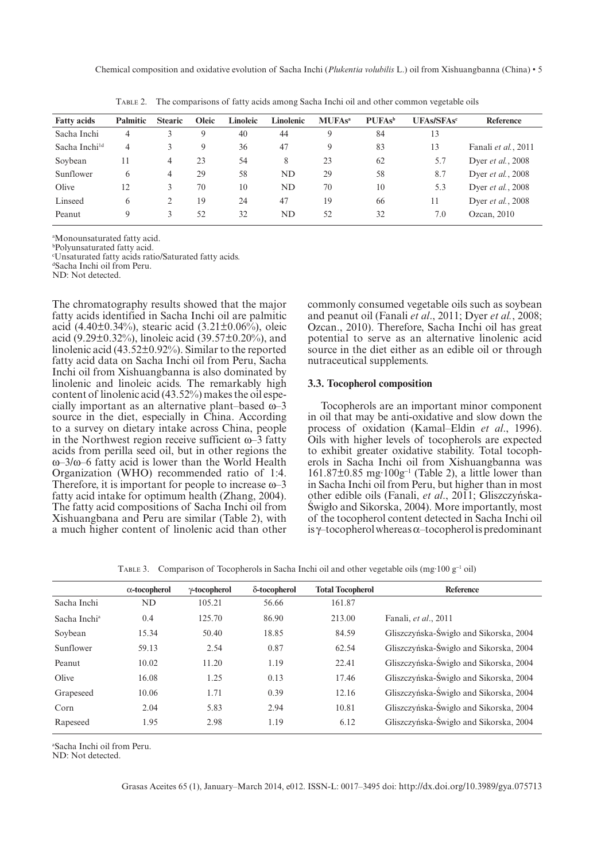Chemical composition and oxidative evolution of Sacha Inchi (*Plukentia volubilis* L.) oil from Xishuangbanna (China) • 5

| <b>Fatty acids</b> | <b>Palmitic</b> | <b>Stearic</b> | <b>Oleic</b> | Linoleic | Linolenic | <b>MUFAs<sup>a</sup></b> | <b>PUFAs</b> <sup>b</sup> | <b>UFAs/SFAsc</b> | Reference                 |
|--------------------|-----------------|----------------|--------------|----------|-----------|--------------------------|---------------------------|-------------------|---------------------------|
| Sacha Inchi        | 4               |                | 9            | 40       | 44        | 9                        | 84                        | 13                |                           |
| Sacha Inchild      | 4               |                | 9            | 36       | 47        | 9                        | 83                        | 13                | Fanali et al., 2011       |
| Soybean            | 11              | 4              | 23           | 54       | 8         | 23                       | 62                        | 5.7               | Dyer et al., 2008         |
| Sunflower          | 6               | 4              | 29           | 58       | ND        | 29                       | 58                        | 8.7               | Dyer <i>et al.</i> , 2008 |
| Olive              | 12              | 3              | 70           | 10       | <b>ND</b> | 70                       | 10                        | 5.3               | Dyer et al., 2008         |
| Linseed            | 6               | $\mathbf{2}$   | 19           | 24       | 47        | 19                       | 66                        | 11                | Dyer <i>et al.</i> , 2008 |
| Peanut             | 9               | 3              | 52           | 32       | ND        | 52                       | 32                        | 7.0               | Ozcan, 2010               |

Table 2. The comparisons of fatty acids among Sacha Inchi oil and other common vegetable oils

a Monounsaturated fatty acid.

b Polyunsaturated fatty acid.

c Unsaturated fatty acids ratio/Saturated fatty acids. d Sacha Inchi oil from Peru.

ND: Not detected.

The chromatography results showed that the major fatty acids identified in Sacha Inchi oil are palmitic acid (4.40 $\pm$ 0.34%), stearic acid (3.21 $\pm$ 0.06%), oleic acid (9.29 $\pm$ 0.32%), linoleic acid (39.57 $\pm$ 0.20%), and linolenic acid (43.52±0.92%). Similar to the reported fatty acid data on Sacha Inchi oil from Peru, Sacha Inchi oil from Xishuangbanna is also dominated by linolenic and linoleic acids. The remarkably high content of linolenic acid (43.52%) makes the oil especially important as an alternative plant–based ω–3 source in the diet, especially in China. According to a survey on dietary intake across China, people in the Northwest region receive sufficient ω–3 fatty acids from perilla seed oil, but in other regions the ω–3/ω–6 fatty acid is lower than the World Health Organization (WHO) recommended ratio of 1:4. Therefore, it is important for people to increase  $\omega$ –3 fatty acid intake for optimum health (Zhang, 2004). The fatty acid compositions of Sacha Inchi oil from Xishuangbana and Peru are similar (Table 2), with a much higher content of linolenic acid than other

commonly consumed vegetable oils such as soybean and peanut oil (Fanali *et al*., 2011; Dyer *et al.*, 2008; Ozcan., 2010). Therefore, Sacha Inchi oil has great potential to serve as an alternative linolenic acid source in the diet either as an edible oil or through nutraceutical supplements.

#### **3.3. Tocopherol composition**

Tocopherols are an important minor component in oil that may be anti-oxidative and slow down the process of oxidation (Kamal–Eldin *et al*., 1996). Oils with higher levels of tocopherols are expected to exhibit greater oxidative stability. Total tocopherols in Sacha Inchi oil from Xishuangbanna was  $161.87\pm0.85$  mg· $100g^{-1}$  (Table 2), a little lower than in Sacha Inchi oil from Peru, but higher than in most other edible oils (Fanali, *et al.*, 2011; Gliszczyńska-Swigło and Sikorska, 2004). More importantly, most of the tocopherol content detected in Sacha Inchi oil is γ–tocopherol whereas α–tocopherol is predominant

TABLE 3. Comparison of Tocopherols in Sacha Inchi oil and other vegetable oils (mg·100  $g^{-1}$  oil)

|                          | $\alpha$ -tocopherol | y-tocopherol | δ-tocopherol | <b>Total Tocopherol</b> | <b>Reference</b>                       |
|--------------------------|----------------------|--------------|--------------|-------------------------|----------------------------------------|
| Sacha Inchi              | ND                   | 105.21       | 56.66        | 161.87                  |                                        |
| Sacha Inchi <sup>a</sup> | 0.4                  | 125.70       | 86.90        | 213.00                  | Fanali, et al., 2011                   |
| Soybean                  | 15.34                | 50.40        | 18.85        | 84.59                   | Gliszczyńska-Świgło and Sikorska, 2004 |
| Sunflower                | 59.13                | 2.54         | 0.87         | 62.54                   | Gliszczyńska-Świgło and Sikorska, 2004 |
| Peanut                   | 10.02                | 11.20        | 1.19         | 22.41                   | Gliszczyńska-Świgło and Sikorska, 2004 |
| Olive                    | 16.08                | 1.25         | 0.13         | 17.46                   | Gliszczyńska-Świgło and Sikorska, 2004 |
| Grapeseed                | 10.06                | 1.71         | 0.39         | 12.16                   | Gliszczyńska-Świgło and Sikorska, 2004 |
| Corn                     | 2.04                 | 5.83         | 2.94         | 10.81                   | Gliszczyńska-Świgło and Sikorska, 2004 |
| Rapeseed                 | 1.95                 | 2.98         | 1.19         | 6.12                    | Gliszczyńska-Świgło and Sikorska, 2004 |
|                          |                      |              |              |                         |                                        |

a Sacha Inchi oil from Peru.

ND: Not detected.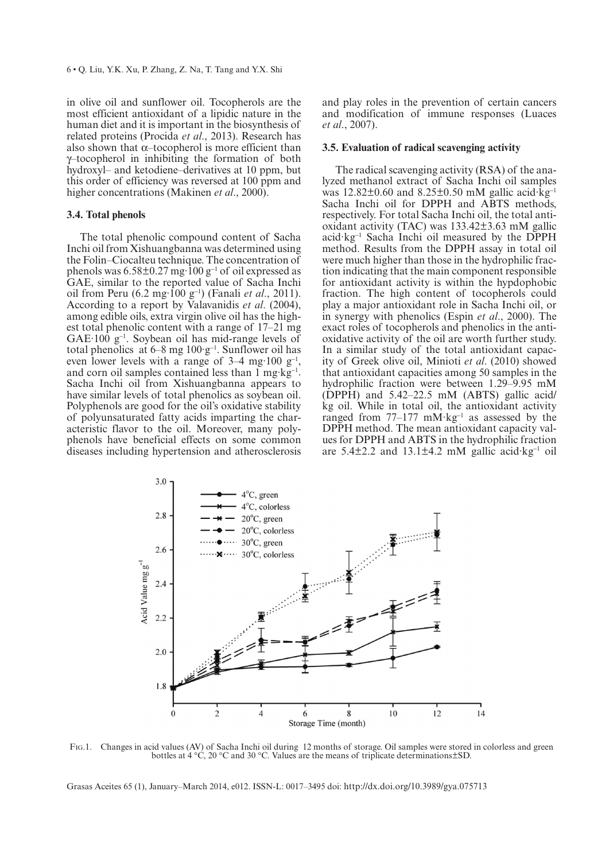in olive oil and sunflower oil. Tocopherols are the most efficient antioxidant of a lipidic nature in the human diet and it is important in the biosynthesis of related proteins (Procida *et al*., 2013). Research has also shown that  $\alpha$ –tocopherol is more efficient than γ–tocopherol in inhibiting the formation of both hydroxyl– and ketodiene–derivatives at 10 ppm, but this order of efficiency was reversed at 100 ppm and higher concentrations (Makinen *et al*., 2000).

## **3.4. Total phenols**

The total phenolic compound content of Sacha Inchi oil from Xishuangbanna was determined using the Folin–Ciocalteu technique. The concentration of phenols was  $6.58\pm0.27$  mg·100 g<sup>-1</sup> of oil expressed as GAE, similar to the reported value of Sacha Inchi oil from Peru (6.2 mg·100 g-<sup>1</sup> ) (Fanali *et al*., 2011). According to a report by Valavanidis *et al*. (2004), among edible oils, extra virgin olive oil has the highest total phenolic content with a range of 17–21 mg  $GAE·100$   $g^{-1}$ . Soybean oil has mid-range levels of total phenolics at  $6-8$  mg  $100 \cdot g^{-1}$ . Sunflower oil has even lower levels with a range of  $3-4$  mg $\cdot 100$  g<sup>-1</sup>, and corn oil samples contained less than  $1 \text{ mg} \cdot \text{kg}^{-1}$ . Sacha Inchi oil from Xishuangbanna appears to have similar levels of total phenolics as soybean oil. Polyphenols are good for the oil's oxidative stability of polyunsaturated fatty acids imparting the characteristic flavor to the oil. Moreover, many polyphenols have beneficial effects on some common diseases including hypertension and atherosclerosis

and play roles in the prevention of certain cancers and modification of immune responses (Luaces *et al*., 2007).

#### **3.5. Evaluation of radical scavenging activity**

The radical scavenging activity (RSA) of the analyzed methanol extract of Sacha Inchi oil samples was  $12.82\pm0.60$  and  $8.25\pm0.50$  mM gallic acid $\cdot$ kg<sup>-1</sup> Sacha Inchi oil for DPPH and ABTS methods, respectively. For total Sacha Inchi oil, the total antioxidant activity (TAC) was 133.42±3.63 mM gallic acid·kg-<sup>1</sup> Sacha Inchi oil measured by the DPPH method. Results from the DPPH assay in total oil were much higher than those in the hydrophilic fraction indicating that the main component responsible for antioxidant activity is within the hypdophobic fraction. The high content of tocopherols could play a major antioxidant role in Sacha Inchi oil, or in synergy with phenolics (Espin *et al*., 2000). The exact roles of tocopherols and phenolics in the antioxidative activity of the oil are worth further study. In a similar study of the total antioxidant capacity of Greek olive oil, Minioti *et al*. (2010) showed that antioxidant capacities among 50 samples in the hydrophilic fraction were between 1.29–9.95 mM (DPPH) and 5.42–22.5 mM (ABTS) gallic acid/ kg oil. While in total oil, the antioxidant activity ranged from  $77-177$  mM·kg<sup>-1</sup> as assessed by the DPPH method. The mean antioxidant capacity values for DPPH and ABTS in the hydrophilic fraction are  $5.4\pm2.2$  and  $13.1\pm4.2$  mM gallic acid $\text{kg}^{-1}$  oil



Fig.1. Changes in acid values (AV) of Sacha Inchi oil during 12 months of storage. Oil samples were stored in colorless and green bottles at 4 °C, 20 °C and 30 °C. Values are the means of triplicate determinations±SD.

Grasas Aceites 65 (1), January–March 2014, e012. ISSN-L: 0017–3495 doi: [http://dx.doi.org/10.3989/gya.](http://dx.doi.org/10.3989/gya.075713)075713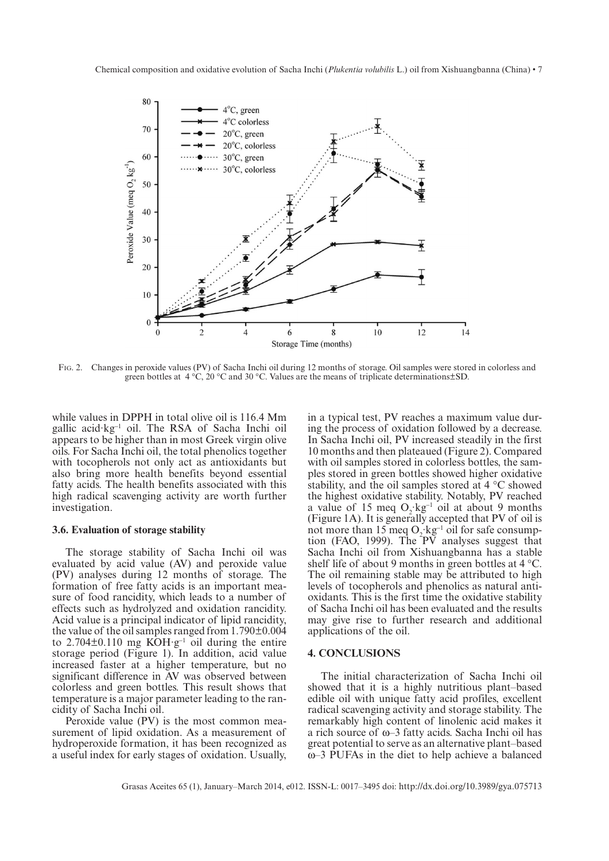Chemical composition and oxidative evolution of Sacha Inchi (*Plukentia volubilis* L.) oil from Xishuangbanna (China) • 7



Fig. 2. Changes in peroxide values (PV) of Sacha Inchi oil during 12 months of storage. Oil samples were stored in colorless and green bottles at  $4 \degree C$ , 20  $\degree C$  and 30  $\degree C$ . Values are the means of triplicate determinations  $\pm$  SD.

while values in DPPH in total olive oil is 116.4 Mm gallic acid·kg-<sup>1</sup> oil. The RSA of Sacha Inchi oil appears to be higher than in most Greek virgin olive oils. For Sacha Inchi oil, the total phenolics together with tocopherols not only act as antioxidants but also bring more health benefits beyond essential fatty acids. The health benefits associated with this high radical scavenging activity are worth further investigation.

#### **3.6. Evaluation of storage stability**

The storage stability of Sacha Inchi oil was evaluated by acid value (AV) and peroxide value (PV) analyses during 12 months of storage. The formation of free fatty acids is an important measure of food rancidity, which leads to a number of effects such as hydrolyzed and oxidation rancidity. Acid value is a principal indicator of lipid rancidity, the value of the oil samples ranged from 1.790±0.004 to  $2.704\pm0.110$  mg KOH·g<sup>-1</sup> oil during the entire storage period (Figure 1). In addition, acid value increased faster at a higher temperature, but no significant difference in AV was observed between colorless and green bottles. This result shows that temperature is a major parameter leading to the rancidity of Sacha Inchi oil.

Peroxide value (PV) is the most common measurement of lipid oxidation. As a measurement of hydroperoxide formation, it has been recognized as a useful index for early stages of oxidation. Usually, in a typical test, PV reaches a maximum value during the process of oxidation followed by a decrease. In Sacha Inchi oil, PV increased steadily in the first 10 months and then plateaued (Figure 2). Compared with oil samples stored in colorless bottles, the samples stored in green bottles showed higher oxidative stability, and the oil samples stored at 4 °C showed the highest oxidative stability. Notably, PV reached a value of 15 meq  $O_2$  kg<sup>-1</sup> oil at about 9 months (Figure 1A). It is generally accepted that PV of oil is not more than 15 meq  $O_2$   $kg^{-1}$  oil for safe consumption (FAO, 1999). The PV analyses suggest that Sacha Inchi oil from Xishuangbanna has a stable shelf life of about 9 months in green bottles at 4 °C. The oil remaining stable may be attributed to high levels of tocopherols and phenolics as natural antioxidants. This is the first time the oxidative stability of Sacha Inchi oil has been evaluated and the results may give rise to further research and additional applications of the oil.

#### **4. CONCLUSIONS**

The initial characterization of Sacha Inchi oil showed that it is a highly nutritious plant–based edible oil with unique fatty acid profiles, excellent radical scavenging activity and storage stability. The remarkably high content of linolenic acid makes it a rich source of ω–3 fatty acids. Sacha Inchi oil has great potential to serve as an alternative plant–based ω–3 PUFAs in the diet to help achieve a balanced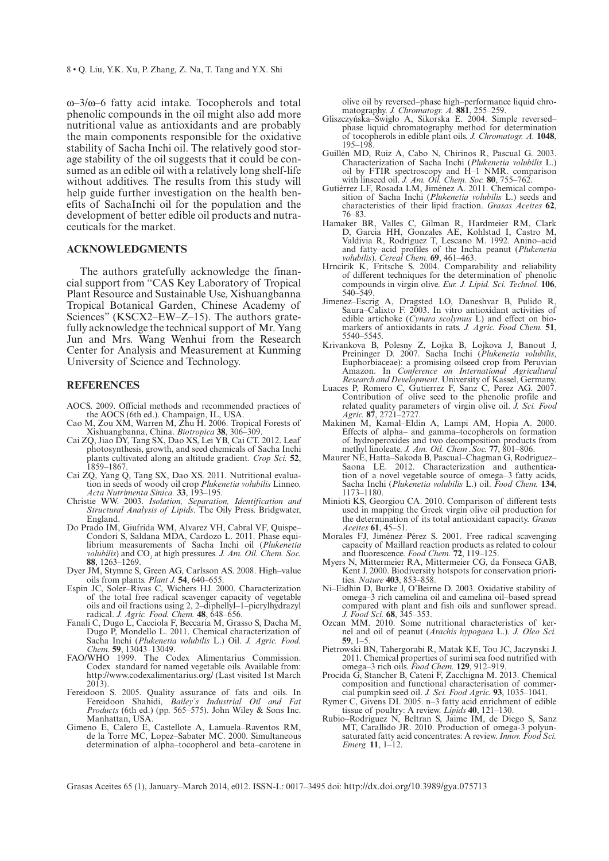ω–3/ω–6 fatty acid intake. Tocopherols and total phenolic compounds in the oil might also add more nutritional value as antioxidants and are probably the main components responsible for the oxidative stability of Sacha Inchi oil. The relatively good storage stability of the oil suggests that it could be consumed as an edible oil with a relatively long shelf-life without additives. The results from this study will help guide further investigation on the health benefits of SachaInchi oil for the population and the development of better edible oil products and nutraceuticals for the market.

#### **ACKNOWLEDGMENTS**

The authors gratefully acknowledge the financial support from "CAS Key Laboratory of Tropical Plant Resource and Sustainable Use, Xishuangbanna Tropical Botanical Garden, Chinese Academy of Sciences" (KSCX2–EW–Z–15). The authors gratefully acknowledge the technical support of Mr. Yang Jun and Mrs. Wang Wenhui from the Research Center for Analysis and Measurement at Kunming University of Science and Technology.

# **REFERENCES**

- AOCS. 2009. Official methods and recommended practices of the AOCS (6th ed.). Champaign, IL, USA.
- Cao M, Zou XM, Warren M, Zhu H. 2006. Tropical Forests of Xishuangbanna, China. *Biotropica* **38**, 306–309.
- Cai ZQ, Jiao DY, Tang SX, Dao XS, Lei YB, Cai CT. 2012. Leaf photosynthesis, growth, and seed chemicals of Sacha Inchi plants cultivated along an altitude gradient. *Crop Sci.* **<sup>52</sup>**, 1859–1867.
- Cai ZQ, Yang Q, Tang SX, Dao XS. 2011. Nutritional evalua- tion in seeds of woody oil crop *Plukenetia volubilis* Linneo. *Acta Nutrimenta Sinica.* **33**, 193–195.
- Christie WW. 2003. *Isolation, Separation, Identification and Structural Analysis of Lipids*. The Oily Press. Bridgwater, England.
- Do Prado IM, Giufrida WM, Alvarez VH, Cabral VF, Quispe– librium measurements of Sacha Inchi oil (*Plukenetia volubilis*) and  $CO<sub>2</sub>$  at high pressures. *J. Am. Oil. Chem. Soc.* **88**, 1263–1269.
- Dyer JM, Stymne S, Green AG, Carlsson AS. 2008. High–value oils from plants. *Plant J.* **54**, 640–655.
- Espin JC, Soler–Rivas C, Wichers HJ. 2000. Characterization of the total free radical scavenger capacity of vegetable oils and oil fractions using 2, 2–diphellyl–1–picrylhydrazyl radical. *J. Agric. Food. Chem.* **48**, 648–656.
- Fanali C, Dugo L, Cacciola F, Beccaria M, Grasso S, Dacha M, Dugo P, Mondello L. 2011. Chemical characterization of Sacha Inchi (*Plukenetia volubilis* L.) Oil. *J. Agric. Food. Chem.* **59**, 13043–13049.
- FAO/WHO 1999. The Codex Alimentarius Commission. Codex standard for named vegetable oils. Available from: [http://www.codexalimentarius.org](http://www.codexalimentarius.org/)/ (Last visited 1st March 2013).
- Fereidoon S. 2005. Quality assurance of fats and oils. In Fereidoon Shahidi, *Bailey's Industrial Oil and Fat Products* (6th ed.) (pp. 565–575). John Wiley & Sons Inc. Manhattan, USA.
- Gimeno E, Calero E, Castellote A, Lamuela–Raventos RM, de la Torre MC, Lopez–Sabater MC. 2000. Simultaneous determination of alpha–tocopherol and beta–carotene in

olive oil by reversed–phase high–performance liquid chro-

- matography. *J. Chromatogr. A*. **881**, 255–259.<br>Gliszczyńska–Świgło A, Sikorska E. 2004. Simple reversed– phase liquid chromatography method for determination of tocopherols in edible plant oils. *J. Chromatogr. A.* **1048**, 195–198.
- Guillén MD, Ruiz A, Cabo N, Chirinos R, Pascual G. 2003. Characterization of Sacha Inchi (*Plukenetia volubilis* L.) oil by FTIR spectroscopy and H–1 NMR. comparison with linseed oil. *J. Am. Oil. Chem. Soc.* **80**, 755–762.
- Gutiérrez LF, Rosada LM, Jiménez Á. 2011. Chemical composition of Sacha Inchi (*Plukenetia volubilis* L.) seeds and characteristics of their lipid fraction. *Grasas Aceites* **62**, 76–83.
- Hamaker BR, Valles C, Gilman R, Hardmeier RM, Clark D, Garcia HH, Gonzales AE, Kohlstad I, Castro M, Valdivia R, Rodriguez T, Lescano M. 1992. Anino–acid and fatty–acid profiles of the Incha peanut (*Plukenetia volubilis*). *Cereal Chem.* **69**, 461–463.
- Hrncirik K, Fritsche S. 2004. Comparability and reliability of different techniques for the determination of phenolic compounds in virgin olive. *Eur. J. Lipid. Sci. Technol.* **106**, 540–549.
- Jimenez–Escrig A, Dragsted LO, Daneshvar B, Pulido R, Saura–Calixto F. 2003. In vitro antioxidant activities of edible artichoke (*Cynara scolymus* L) and effect on biomarkers of antioxidants in rats. *J. Agric. Food Chem.* **51**, 5540–5545.
- Krivankova B, Polesny Z, Lojka B, Lojkova J, Banout J, Preininger D. 2007. Sacha Inchi (*Plukenetia volubilis*, Euphorbiaceae): a promising oilseed crop from Peruvian Amazon. In *Conference on International Agricultural Research and Development*. University of Kassel, Germany.
- Luaces P, Romero C, Gutierrez F, Sanz C, Perez AG. 2007. Contribution of olive seed to the phenolic profile and related quality parameters of virgin olive oil. *J. Sci. Food Agric.* **87**, 2721–2727.
- Makinen M, Kamal–Eldin A, Lampi AM, Hopia A. 2000. Effects of alpha– and gamma–tocopherols on formation of hydroperoxides and two decomposition products from methyl linoleate. *J. Am. Oil. Chem .Soc.* **77**, 801–806.
- Maurer NE, Hatta–Sakoda B, Pascual–Chagman G, Rodriguez– Saona LE. 2012. Characterization and authentication of a novel vegetable source of omega–3 fatty acids, Sacha Inchi (*Plukenetia volubilis* L.) oil. *Food Chem.* **134**, 1173–1180.
- Minioti KS, Georgiou CA. 2010. Comparison of different tests used in mapping the Greek virgin olive oil production for the determination of its total antioxidant capacity. *Grasas Aceites* **61**, 45–51.
- Morales FJ, Jiménez–Pérez S. 2001. Free radical scavenging capacity of Maillard reaction products as related to colour and fluorescence. *Food Chem.* **72**, 119–125.
- Myers N, Mittermeier RA, Mittermeier CG, da Fonseca GAB, Kent J. 2000. Biodiversity hotspots for conservation priorities. *Nature* **403**, 853–858.
- Ni–Eidhin D, Burke J, O'Beirne D. 2003. Oxidative stability of omega–3 rich camelina oil and camelina oil–based spread compared with plant and fish oils and sunflower spread. *J. Food Sci.* **68**, 345–353.
- Ozcan MM. 2010. Some nutritional characteristics of ker- nel and oil of peanut (*Arachis hypogaea* L.). *J. Oleo Sci.*  nel and oil of peanut (Arachis hypogaea L.). J. Oleo Sci.<br>**59**, 1–5.
- Pietrowski BN, Tahergorabi R, Matak KE, Tou JC, Jaczynski J. 2011. Chemical properties of surimi sea food nutrified with omega–3 rich oils. *Food Chem.* **129**, 912–919.
- Procida G, Stancher B, Cateni F, Zacchigna M. 2013. Chemical composition and functional characterisation of commer- cial pumpkin seed oil. *J. Sci. Food Agric.* **93**, 1035–1041.
- Rymer C, Givens DI. 2005. n–3 fatty acid enrichment of edible tissue of poultry: A review. *Lipids* **40**, 121–130.
- Rubio–Rodriguez N, Beltran S, Jaime IM, de Diego S, Sanz MT, Carallido JR. 2010. Production of omega-3 polyun- saturated fatty acid concentrates: A review. *Innov. Food Sci. Emerg.* **11**, 1–12.

Grasas Aceites 65 (1), January–March 2014, e012. ISSN-L: 0017–3495 doi: [http://dx.doi.org/10.3989/gya.](http://dx.doi.org/10.3989/gya.075713)075713